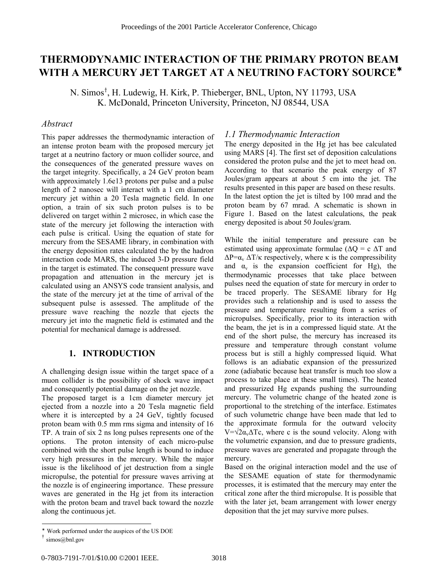# **THERMODYNAMIC INTERACTION OF THE PRIMARY PROTON BEAM WITH A MERCURY JET TARGET AT A NEUTRINO FACTORY SOURCE**<sup>∗</sup>

N. Simos<sup>†</sup>, H. Ludewig, H. Kirk, P. Thieberger, BNL, Upton, NY 11793, USA K. McDonald, Princeton University, Princeton, NJ 08544, USA

### *Abstract*

This paper addresses the thermodynamic interaction of an intense proton beam with the proposed mercury jet target at a neutrino factory or muon collider source, and the consequences of the generated pressure waves on the target integrity. Specifically, a 24 GeV proton beam with approximately 1.6e13 protons per pulse and a pulse length of 2 nanosec will interact with a 1 cm diameter mercury jet within a 20 Tesla magnetic field. In one option, a train of six such proton pulses is to be delivered on target within 2 microsec, in which case the state of the mercury jet following the interaction with each pulse is critical. Using the equation of state for mercury from the SESAME library, in combination with the energy deposition rates calculated the by the hadron interaction code MARS, the induced 3-D pressure field in the target is estimated. The consequent pressure wave propagation and attenuation in the mercury jet is calculated using an ANSYS code transient analysis, and the state of the mercury jet at the time of arrival of the subsequent pulse is assessed. The amplitude of the pressure wave reaching the nozzle that ejects the mercury jet into the magnetic field is estimated and the potential for mechanical damage is addressed.

# **1. INTRODUCTION**

A challenging design issue within the target space of a muon collider is the possibility of shock wave impact and consequently potential damage on the jet nozzle.

The proposed target is a 1cm diameter mercury jet ejected from a nozzle into a 20 Tesla magnetic field where it is intercepted by a 24 GeV, tightly focused proton beam with 0.5 mm rms sigma and intensity of 16 TP. A train of six 2 ns long pulses represents one of the options. The proton intensity of each micro-pulse combined with the short pulse length is bound to induce very high pressures in the mercury. While the major issue is the likelihood of jet destruction from a single micropulse, the potential for pressure waves arriving at the nozzle is of engineering importance. These pressure waves are generated in the Hg jet from its interaction with the proton beam and travel back toward the nozzle along the continuous jet.

## *1.1 Thermodynamic Interaction*

The energy deposited in the Hg jet has bee calculated using MARS [4]. The first set of deposition calculations considered the proton pulse and the jet to meet head on. According to that scenario the peak energy of 87 Joules/gram appears at about 5 cm into the jet. The results presented in this paper are based on these results. In the latest option the jet is tilted by 100 mrad and the proton beam by 67 mrad. A schematic is shown in Figure 1. Based on the latest calculations, the peak energy deposited is about 50 Joules/gram.

While the initial temperature and pressure can be estimated using approximate formulae ( $\Delta$ O = c  $\Delta$ T and  $\Delta P = \alpha_v \Delta T / \kappa$  respectively, where  $\kappa$  is the compressibility and  $\alpha_v$  is the expansion coefficient for Hg), the thermodynamic processes that take place between pulses need the equation of state for mercury in order to be traced properly. The SESAME library for Hg provides such a relationship and is used to assess the pressure and temperature resulting from a series of micropulses. Specifically, prior to its interaction with the beam, the jet is in a compressed liquid state. At the end of the short pulse, the mercury has increased its pressure and temperature through constant volume process but is still a highly compressed liquid. What follows is an adiabatic expansion of the pressurized zone (adiabatic because heat transfer is much too slow a process to take place at these small times). The heated and pressurized Hg expands pushing the surrounding mercury. The volumetric change of the heated zone is proportional to the stretching of the interface. Estimates of such volumetric change have been made that led to the approximate formula for the outward velocity  $V=\sqrt{2\alpha_v\Delta Tc}$ , where c is the sound velocity. Along with the volumetric expansion, and due to pressure gradients, pressure waves are generated and propagate through the mercury.

Based on the original interaction model and the use of the SESAME equation of state for thermodynamic processes, it is estimated that the mercury may enter the critical zone after the third micropulse. It is possible that with the later jet, beam arrangement with lower energy deposition that the jet may survive more pulses.

l

<sup>∗</sup> Work performed under the auspices of the US DOE

 $\dagger$  simos@bnl.gov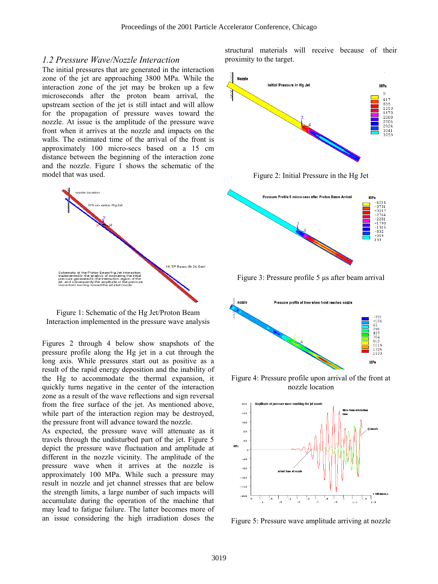#### *1.2 Pressure Wave/Nozzle Interaction*

The initial pressures that are generated in the interaction zone of the jet are approaching 3800 MPa. While the interaction zone of the jet may be broken up a few microseconds after the proton beam arrival, the upstream section of the jet is still intact and will allow for the propagation of pressure waves toward the nozzle. At issue is the amplitude of the pressure wave front when it arrives at the nozzle and impacts on the walls. The estimated time of the arrival of the front is approximately 100 micro-secs based on a 15 cm distance between the beginning of the interaction zone and the nozzle. Figure 1 shows the schematic of the model that was used.



Figure 1: Schematic of the Hg Jet/Proton Beam Interaction implemented in the pressure wave analysis

Figures 2 through 4 below show snapshots of the pressure profile along the Hg jet in a cut through the long axis. While pressures start out as positive as a result of the rapid energy deposition and the inability of the Hg to accommodate the thermal expansion, it quickly turns negative in the center of the interaction zone as a result of the wave reflections and sign reversal from the free surface of the jet. As mentioned above, while part of the interaction region may be destroyed, the pressure front will advance toward the nozzle.

As expected, the pressure wave will attenuate as it travels through the undisturbed part of the jet. Figure 5 depict the pressure wave fluctuation and amplitude at different in the nozzle vicinity. The amplitude of the pressure wave when it arrives at the nozzle is approximately 100 MPa. While such a pressure may result in nozzle and jet channel stresses that are below the strength limits, a large number of such impacts will accumulate during the operation of the machine that may lead to fatigue failure. The latter becomes more of an issue considering the high irradiation doses the

structural materials will receive because of their proximity to the target.



Figure 2: Initial Pressure in the Hg Jet



Figure 3: Pressure profile 5 µs after beam arrival



Figure 4: Pressure profile upon arrival of the front at nozzle location



Figure 5: Pressure wave amplitude arriving at nozzle